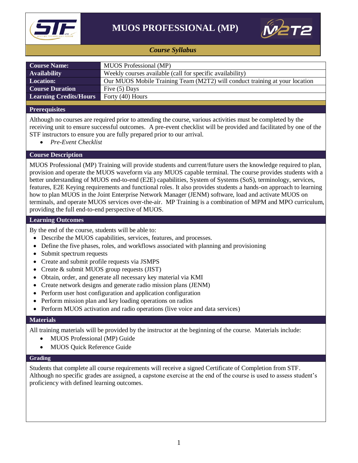



## *Course Syllabus*

| <b>Course Name:</b>           | MUOS Professional (MP)                                                      |
|-------------------------------|-----------------------------------------------------------------------------|
| <b>Availability</b>           | Weekly courses available (call for specific availability)                   |
| <b>Location:</b>              | Our MUOS Mobile Training Team (M2T2) will conduct training at your location |
| <b>Course Duration</b>        | Five $(5)$ Days                                                             |
| <b>Learning Credits/Hours</b> | Forty (40) Hours                                                            |
|                               |                                                                             |

### **Prerequisites**

Although no courses are required prior to attending the course, various activities must be completed by the receiving unit to ensure successful outcomes. A pre-event checklist will be provided and facilitated by one of the STF instructors to ensure you are fully prepared prior to our arrival.

*Pre-Event Checklist*

### **Course Description**

MUOS Professional (MP) Training will provide students and current/future users the knowledge required to plan, provision and operate the MUOS waveform via any MUOS capable terminal. The course provides students with a better understanding of MUOS end-to-end (E2E) capabilities, System of Systems (SoS), terminology, services, features, E2E Keying requirements and functional roles. It also provides students a hands-on approach to learning how to plan MUOS in the Joint Enterprise Network Manager (JENM) software, load and activate MUOS on terminals, and operate MUOS services over-the-air. MP Training is a combination of MPM and MPO curriculum, providing the full end-to-end perspective of MUOS.

### **Learning Outcomes**

By the end of the course, students will be able to:

- Describe the MUOS capabilities, services, features, and processes.
- Define the five phases, roles, and workflows associated with planning and provisioning
- Submit spectrum requests
- Create and submit profile requests via JSMPS
- Create & submit MUOS group requests (JIST)
- Obtain, order, and generate all necessary key material via KMI
- Create network designs and generate radio mission plans (JENM)
- Perform user host configuration and application configuration
- Perform mission plan and key loading operations on radios
- Perform MUOS activation and radio operations (live voice and data services)

#### **Materials**

All training materials will be provided by the instructor at the beginning of the course. Materials include:

- MUOS Professional (MP) Guide
- MUOS Quick Reference Guide

#### **Grading**

Students that complete all course requirements will receive a signed Certificate of Completion from STF. Although no specific grades are assigned, a capstone exercise at the end of the course is used to assess student's proficiency with defined learning outcomes.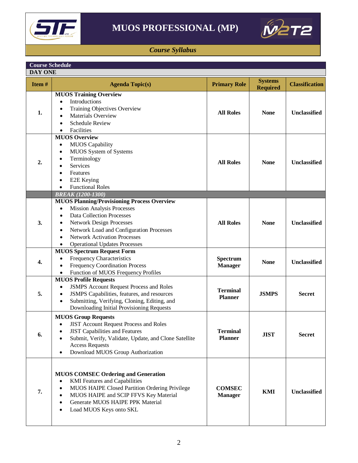



## *Course Syllabus*

| <b>Course Schedule</b> |                                                                                                                                                                                                                                                                                                                                                    |                                   |                                   |                       |  |  |
|------------------------|----------------------------------------------------------------------------------------------------------------------------------------------------------------------------------------------------------------------------------------------------------------------------------------------------------------------------------------------------|-----------------------------------|-----------------------------------|-----------------------|--|--|
|                        | <b>DAY ONE</b>                                                                                                                                                                                                                                                                                                                                     |                                   |                                   |                       |  |  |
| Item#                  | <b>Agenda Topic(s)</b>                                                                                                                                                                                                                                                                                                                             | <b>Primary Role</b>               | <b>Systems</b><br><b>Required</b> | <b>Classification</b> |  |  |
| 1.                     | <b>MUOS Training Overview</b><br>Introductions<br>$\bullet$<br>Training Objectives Overview<br>$\bullet$<br><b>Materials Overview</b><br>$\bullet$<br><b>Schedule Review</b><br>$\bullet$<br>Facilities<br>$\bullet$                                                                                                                               | <b>All Roles</b>                  | <b>None</b>                       | Unclassified          |  |  |
| 2.                     | <b>MUOS Overview</b><br><b>MUOS</b> Capability<br>$\bullet$<br>MUOS System of Systems<br>$\bullet$<br>Terminology<br>Services<br>$\bullet$<br>Features<br>$\bullet$<br>E2E Keying<br>$\bullet$<br><b>Functional Roles</b>                                                                                                                          | <b>All Roles</b>                  | <b>None</b>                       | <b>Unclassified</b>   |  |  |
|                        | <b>BREAK (1200-1300)</b>                                                                                                                                                                                                                                                                                                                           |                                   |                                   |                       |  |  |
| 3.                     | <b>MUOS Planning/Provisioning Process Overview</b><br><b>Mission Analysis Processes</b><br>$\bullet$<br><b>Data Collection Processes</b><br>$\bullet$<br><b>Network Design Processes</b><br>٠<br>Network Load and Configuration Processes<br>$\bullet$<br><b>Network Activation Processes</b><br>$\bullet$<br><b>Operational Updates Processes</b> | <b>All Roles</b>                  | <b>None</b>                       | <b>Unclassified</b>   |  |  |
| 4.                     | <b>MUOS Spectrum Request Form</b><br>Frequency Characteristics<br>$\bullet$<br><b>Frequency Coordination Process</b><br>٠<br>Function of MUOS Frequency Profiles<br>٠                                                                                                                                                                              | Spectrum<br><b>Manager</b>        | <b>None</b>                       | <b>Unclassified</b>   |  |  |
| 5.                     | <b>MUOS Profile Requests</b><br><b>JSMPS Account Request Process and Roles</b><br>$\bullet$<br>JSMPS Capabilities, features, and resources<br>$\bullet$<br>Submitting, Verifying, Cloning, Editing, and<br>$\bullet$<br>Downloading Initial Provisioning Requests                                                                                  | <b>Terminal</b><br>Planner        | <b>JSMPS</b>                      | <b>Secret</b>         |  |  |
| 6.                     | <b>MUOS Group Requests</b><br><b>JIST Account Request Process and Roles</b><br><b>JIST Capabilities and Features</b><br>Submit, Verify, Validate, Update, and Clone Satellite<br><b>Access Requests</b><br>Download MUOS Group Authorization<br>$\bullet$                                                                                          | <b>Terminal</b><br><b>Planner</b> | <b>JIST</b>                       | <b>Secret</b>         |  |  |
| 7.                     | <b>MUOS COMSEC Ordering and Generation</b><br><b>KMI</b> Features and Capabilities<br>٠<br>MUOS HAIPE Closed Partition Ordering Privilege<br>$\bullet$<br>MUOS HAIPE and SCIP FFVS Key Material<br>٠<br>Generate MUOS HAIPE PPK Material<br>$\bullet$<br>Load MUOS Keys onto SKL<br>$\bullet$                                                      | <b>COMSEC</b><br><b>Manager</b>   | <b>KMI</b>                        | <b>Unclassified</b>   |  |  |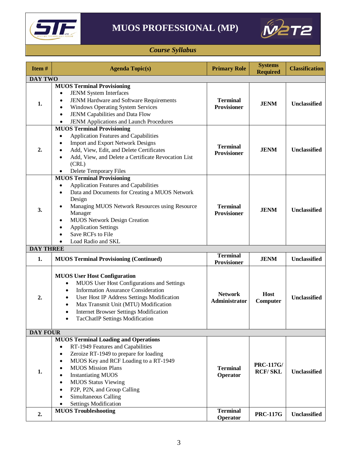

# **MUOS PROFESSIONAL (MP)**



## *Course Syllabus*

| Item#            | <b>Agenda Topic(s)</b>                                                                                                                                                                                                                                                                                                                                                                                                                             | <b>Primary Role</b>                   | <b>Systems</b><br><b>Required</b>  | <b>Classification</b> |  |
|------------------|----------------------------------------------------------------------------------------------------------------------------------------------------------------------------------------------------------------------------------------------------------------------------------------------------------------------------------------------------------------------------------------------------------------------------------------------------|---------------------------------------|------------------------------------|-----------------------|--|
|                  | <b>DAY TWO</b>                                                                                                                                                                                                                                                                                                                                                                                                                                     |                                       |                                    |                       |  |
| 1.               | <b>MUOS Terminal Provisioning</b><br>JENM System Interfaces<br>$\bullet$<br>JENM Hardware and Software Requirements<br>$\bullet$<br><b>Windows Operating System Services</b><br>$\bullet$<br>JENM Capabilities and Data Flow<br>$\bullet$<br>JENM Applications and Launch Procedures<br>$\bullet$                                                                                                                                                  | <b>Terminal</b><br>Provisioner        | <b>JENM</b>                        | <b>Unclassified</b>   |  |
| 2.               | <b>MUOS Terminal Provisioning</b><br>Application Features and Capabilities<br>$\bullet$<br><b>Import and Export Network Designs</b><br>$\bullet$<br>Add, View, Edit, and Delete Certificates<br>٠<br>Add, View, and Delete a Certificate Revocation List<br>$\bullet$<br>(CRL)<br>Delete Temporary Files<br>$\bullet$                                                                                                                              | <b>Terminal</b><br><b>Provisioner</b> | <b>JENM</b>                        | <b>Unclassified</b>   |  |
| 3.               | <b>MUOS Terminal Provisioning</b><br><b>Application Features and Capabilities</b><br>$\bullet$<br>Data and Documents for Creating a MUOS Network<br>$\bullet$<br>Design<br>Managing MUOS Network Resources using Resource<br>$\bullet$<br>Manager<br><b>MUOS Network Design Creation</b><br>٠<br><b>Application Settings</b><br>$\bullet$<br>Save RCFs to File<br>Load Radio and SKL                                                               | <b>Terminal</b><br><b>Provisioner</b> | <b>JENM</b>                        | Unclassified          |  |
| <b>DAY THREE</b> |                                                                                                                                                                                                                                                                                                                                                                                                                                                    |                                       |                                    |                       |  |
| 1.               | <b>MUOS Terminal Provisioning (Continued)</b>                                                                                                                                                                                                                                                                                                                                                                                                      | Terminal<br><b>Provisioner</b>        | <b>JENM</b>                        | Unclassified          |  |
| 2.               | <b>MUOS User Host Configuration</b><br>MUOS User Host Configurations and Settings<br>$\bullet$<br><b>Information Assurance Consideration</b><br>$\bullet$<br>User Host IP Address Settings Modification<br>$\bullet$<br>Max Transmit Unit (MTU) Modification<br>$\bullet$<br><b>Internet Browser Settings Modification</b><br>٠<br><b>TacChatIP Settings Modification</b><br>٠                                                                     | <b>Network</b><br>Administrator       | Host<br>Computer                   | <b>Unclassified</b>   |  |
| <b>DAY FOUR</b>  |                                                                                                                                                                                                                                                                                                                                                                                                                                                    |                                       |                                    |                       |  |
| 1.               | <b>MUOS Terminal Loading and Operations</b><br>RT-1949 Features and Capabilities<br>$\bullet$<br>Zeroize RT-1949 to prepare for loading<br>$\bullet$<br>MUOS Key and RCF Loading to a RT-1949<br>$\bullet$<br><b>MUOS Mission Plans</b><br>٠<br><b>Instantiating MUOS</b><br>$\bullet$<br><b>MUOS Status Viewing</b><br>$\bullet$<br>P2P, P2N, and Group Calling<br>$\bullet$<br>Simultaneous Calling<br>$\bullet$<br><b>Settings Modification</b> | <b>Terminal</b><br>Operator           | <b>PRC-117G/</b><br><b>RCF/SKL</b> | Unclassified          |  |
| 2.               | <b>MUOS Troubleshooting</b>                                                                                                                                                                                                                                                                                                                                                                                                                        | <b>Terminal</b><br>Operator           | <b>PRC-117G</b>                    | Unclassified          |  |